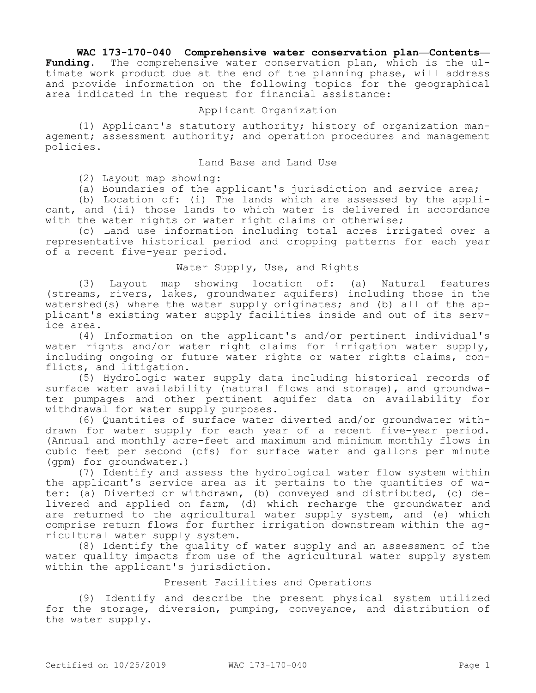# **WAC 173-170-040 Comprehensive water conservation plan—Contents—**

**Funding.** The comprehensive water conservation plan, which is the ultimate work product due at the end of the planning phase, will address and provide information on the following topics for the geographical area indicated in the request for financial assistance:

# Applicant Organization

(1) Applicant's statutory authority; history of organization management; assessment authority; and operation procedures and management policies.

#### Land Base and Land Use

(2) Layout map showing:

(a) Boundaries of the applicant's jurisdiction and service area;

(b) Location of: (i) The lands which are assessed by the applicant, and (ii) those lands to which water is delivered in accordance with the water rights or water right claims or otherwise;

(c) Land use information including total acres irrigated over a representative historical period and cropping patterns for each year of a recent five-year period.

### Water Supply, Use, and Rights

(3) Layout map showing location of: (a) Natural features (streams, rivers, lakes, groundwater aquifers) including those in the watershed(s) where the water supply originates; and (b) all of the applicant's existing water supply facilities inside and out of its service area.

(4) Information on the applicant's and/or pertinent individual's water rights and/or water right claims for irrigation water supply, including ongoing or future water rights or water rights claims, conflicts, and litigation.

(5) Hydrologic water supply data including historical records of surface water availability (natural flows and storage), and groundwater pumpages and other pertinent aquifer data on availability for withdrawal for water supply purposes.

(6) Quantities of surface water diverted and/or groundwater withdrawn for water supply for each year of a recent five-year period. (Annual and monthly acre-feet and maximum and minimum monthly flows in cubic feet per second (cfs) for surface water and gallons per minute (gpm) for groundwater.)

(7) Identify and assess the hydrological water flow system within the applicant's service area as it pertains to the quantities of water: (a) Diverted or withdrawn, (b) conveyed and distributed, (c) delivered and applied on farm, (d) which recharge the groundwater and are returned to the agricultural water supply system, and (e) which comprise return flows for further irrigation downstream within the agricultural water supply system.

(8) Identify the quality of water supply and an assessment of the water quality impacts from use of the agricultural water supply system within the applicant's jurisdiction.

### Present Facilities and Operations

(9) Identify and describe the present physical system utilized for the storage, diversion, pumping, conveyance, and distribution of the water supply.